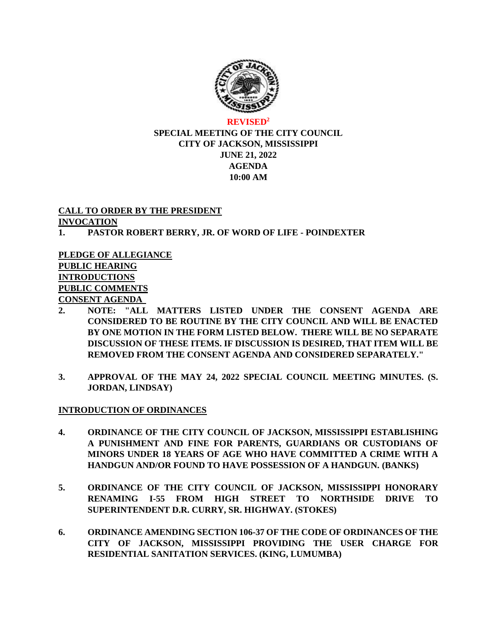

## **REVISED<sup>2</sup> SPECIAL MEETING OF THE CITY COUNCIL CITY OF JACKSON, MISSISSIPPI JUNE 21, 2022 AGENDA 10:00 AM**

### **CALL TO ORDER BY THE PRESIDENT INVOCATION**

# **1. PASTOR ROBERT BERRY, JR. OF WORD OF LIFE - POINDEXTER**

**PLEDGE OF ALLEGIANCE PUBLIC HEARING INTRODUCTIONS PUBLIC COMMENTS CONSENT AGENDA**

- **2. NOTE: "ALL MATTERS LISTED UNDER THE CONSENT AGENDA ARE CONSIDERED TO BE ROUTINE BY THE CITY COUNCIL AND WILL BE ENACTED BY ONE MOTION IN THE FORM LISTED BELOW. THERE WILL BE NO SEPARATE DISCUSSION OF THESE ITEMS. IF DISCUSSION IS DESIRED, THAT ITEM WILL BE REMOVED FROM THE CONSENT AGENDA AND CONSIDERED SEPARATELY."**
- **3. APPROVAL OF THE MAY 24, 2022 SPECIAL COUNCIL MEETING MINUTES. (S. JORDAN, LINDSAY)**

# **INTRODUCTION OF ORDINANCES**

- **4. ORDINANCE OF THE CITY COUNCIL OF JACKSON, MISSISSIPPI ESTABLISHING A PUNISHMENT AND FINE FOR PARENTS, GUARDIANS OR CUSTODIANS OF MINORS UNDER 18 YEARS OF AGE WHO HAVE COMMITTED A CRIME WITH A HANDGUN AND/OR FOUND TO HAVE POSSESSION OF A HANDGUN. (BANKS)**
- **5. ORDINANCE OF THE CITY COUNCIL OF JACKSON, MISSISSIPPI HONORARY RENAMING I-55 FROM HIGH STREET TO NORTHSIDE DRIVE TO SUPERINTENDENT D.R. CURRY, SR. HIGHWAY. (STOKES)**
- **6. ORDINANCE AMENDING SECTION 106-37 OF THE CODE OF ORDINANCES OF THE CITY OF JACKSON, MISSISSIPPI PROVIDING THE USER CHARGE FOR RESIDENTIAL SANITATION SERVICES. (KING, LUMUMBA)**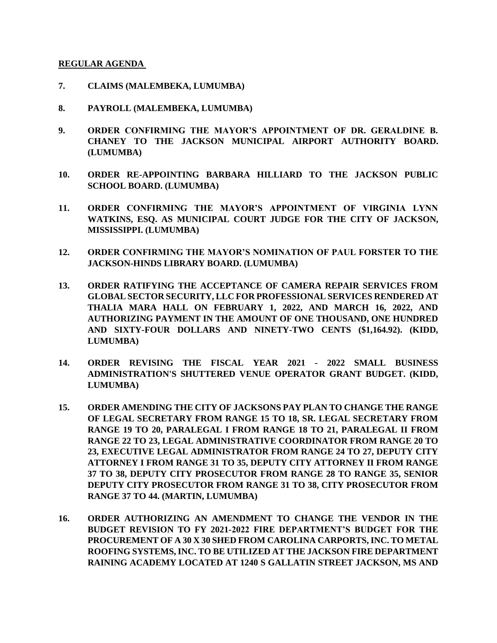#### **REGULAR AGENDA**

- **7. CLAIMS (MALEMBEKA, LUMUMBA)**
- **8. PAYROLL (MALEMBEKA, LUMUMBA)**
- **9. ORDER CONFIRMING THE MAYOR'S APPOINTMENT OF DR. GERALDINE B. CHANEY TO THE JACKSON MUNICIPAL AIRPORT AUTHORITY BOARD. (LUMUMBA)**
- **10. ORDER RE-APPOINTING BARBARA HILLIARD TO THE JACKSON PUBLIC SCHOOL BOARD. (LUMUMBA)**
- **11. ORDER CONFIRMING THE MAYOR'S APPOINTMENT OF VIRGINIA LYNN WATKINS, ESQ. AS MUNICIPAL COURT JUDGE FOR THE CITY OF JACKSON, MISSISSIPPI. (LUMUMBA)**
- **12. ORDER CONFIRMING THE MAYOR'S NOMINATION OF PAUL FORSTER TO THE JACKSON-HINDS LIBRARY BOARD. (LUMUMBA)**
- **13. ORDER RATIFYING THE ACCEPTANCE OF CAMERA REPAIR SERVICES FROM GLOBAL SECTOR SECURITY, LLC FOR PROFESSIONAL SERVICES RENDERED AT THALIA MARA HALL ON FEBRUARY 1, 2022, AND MARCH 16, 2022, AND AUTHORIZING PAYMENT IN THE AMOUNT OF ONE THOUSAND, ONE HUNDRED AND SIXTY-FOUR DOLLARS AND NINETY-TWO CENTS (\$1,164.92). (KIDD, LUMUMBA)**
- **14. ORDER REVISING THE FISCAL YEAR 2021 - 2022 SMALL BUSINESS ADMINISTRATION'S SHUTTERED VENUE OPERATOR GRANT BUDGET. (KIDD, LUMUMBA)**
- **15. ORDER AMENDING THE CITY OF JACKSONS PAY PLAN TO CHANGE THE RANGE OF LEGAL SECRETARY FROM RANGE 15 TO 18, SR. LEGAL SECRETARY FROM RANGE 19 TO 20, PARALEGAL I FROM RANGE 18 TO 21, PARALEGAL II FROM RANGE 22 TO 23, LEGAL ADMINISTRATIVE COORDINATOR FROM RANGE 20 TO 23, EXECUTIVE LEGAL ADMINISTRATOR FROM RANGE 24 TO 27, DEPUTY CITY ATTORNEY I FROM RANGE 31 TO 35, DEPUTY CITY ATTORNEY II FROM RANGE 37 TO 38, DEPUTY CITY PROSECUTOR FROM RANGE 28 TO RANGE 35, SENIOR DEPUTY CITY PROSECUTOR FROM RANGE 31 TO 38, CITY PROSECUTOR FROM RANGE 37 TO 44. (MARTIN, LUMUMBA)**
- **16. ORDER AUTHORIZING AN AMENDMENT TO CHANGE THE VENDOR IN THE BUDGET REVISION TO FY 2021-2022 FIRE DEPARTMENT'S BUDGET FOR THE PROCUREMENT OF A 30 X 30 SHED FROM CAROLINA CARPORTS, INC. TO METAL ROOFING SYSTEMS, INC. TO BE UTILIZED AT THE JACKSON FIRE DEPARTMENT RAINING ACADEMY LOCATED AT 1240 S GALLATIN STREET JACKSON, MS AND**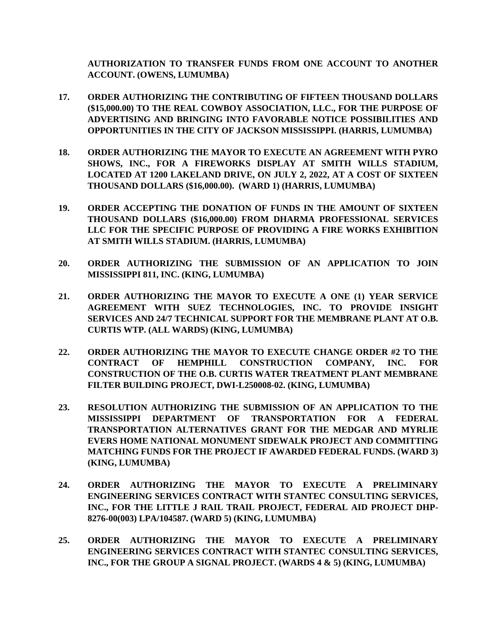**AUTHORIZATION TO TRANSFER FUNDS FROM ONE ACCOUNT TO ANOTHER ACCOUNT. (OWENS, LUMUMBA)**

- **17. ORDER AUTHORIZING THE CONTRIBUTING OF FIFTEEN THOUSAND DOLLARS (\$15,000.00) TO THE REAL COWBOY ASSOCIATION, LLC., FOR THE PURPOSE OF ADVERTISING AND BRINGING INTO FAVORABLE NOTICE POSSIBILITIES AND OPPORTUNITIES IN THE CITY OF JACKSON MISSISSIPPI. (HARRIS, LUMUMBA)**
- **18. ORDER AUTHORIZING THE MAYOR TO EXECUTE AN AGREEMENT WITH PYRO SHOWS, INC., FOR A FIREWORKS DISPLAY AT SMITH WILLS STADIUM, LOCATED AT 1200 LAKELAND DRIVE, ON JULY 2, 2022, AT A COST OF SIXTEEN THOUSAND DOLLARS (\$16,000.00). (WARD 1) (HARRIS, LUMUMBA)**
- **19. ORDER ACCEPTING THE DONATION OF FUNDS IN THE AMOUNT OF SIXTEEN THOUSAND DOLLARS (\$16,000.00) FROM DHARMA PROFESSIONAL SERVICES LLC FOR THE SPECIFIC PURPOSE OF PROVIDING A FIRE WORKS EXHIBITION AT SMITH WILLS STADIUM. (HARRIS, LUMUMBA)**
- **20. ORDER AUTHORIZING THE SUBMISSION OF AN APPLICATION TO JOIN MISSISSIPPI 811, INC. (KING, LUMUMBA)**
- **21. ORDER AUTHORIZING THE MAYOR TO EXECUTE A ONE (1) YEAR SERVICE AGREEMENT WITH SUEZ TECHNOLOGIES, INC. TO PROVIDE INSIGHT SERVICES AND 24/7 TECHNICAL SUPPORT FOR THE MEMBRANE PLANT AT O.B. CURTIS WTP. (ALL WARDS) (KING, LUMUMBA)**
- **22. ORDER AUTHORIZING THE MAYOR TO EXECUTE CHANGE ORDER #2 TO THE CONTRACT OF HEMPHILL CONSTRUCTION COMPANY, INC. FOR CONSTRUCTION OF THE O.B. CURTIS WATER TREATMENT PLANT MEMBRANE FILTER BUILDING PROJECT, DWI-L250008-02. (KING, LUMUMBA)**
- **23. RESOLUTION AUTHORIZING THE SUBMISSION OF AN APPLICATION TO THE MISSISSIPPI DEPARTMENT OF TRANSPORTATION FOR A FEDERAL TRANSPORTATION ALTERNATIVES GRANT FOR THE MEDGAR AND MYRLIE EVERS HOME NATIONAL MONUMENT SIDEWALK PROJECT AND COMMITTING MATCHING FUNDS FOR THE PROJECT IF AWARDED FEDERAL FUNDS. (WARD 3) (KING, LUMUMBA)**
- **24. ORDER AUTHORIZING THE MAYOR TO EXECUTE A PRELIMINARY ENGINEERING SERVICES CONTRACT WITH STANTEC CONSULTING SERVICES, INC., FOR THE LITTLE J RAIL TRAIL PROJECT, FEDERAL AID PROJECT DHP-8276-00(003) LPA/104587. (WARD 5) (KING, LUMUMBA)**
- **25. ORDER AUTHORIZING THE MAYOR TO EXECUTE A PRELIMINARY ENGINEERING SERVICES CONTRACT WITH STANTEC CONSULTING SERVICES, INC., FOR THE GROUP A SIGNAL PROJECT. (WARDS 4 & 5) (KING, LUMUMBA)**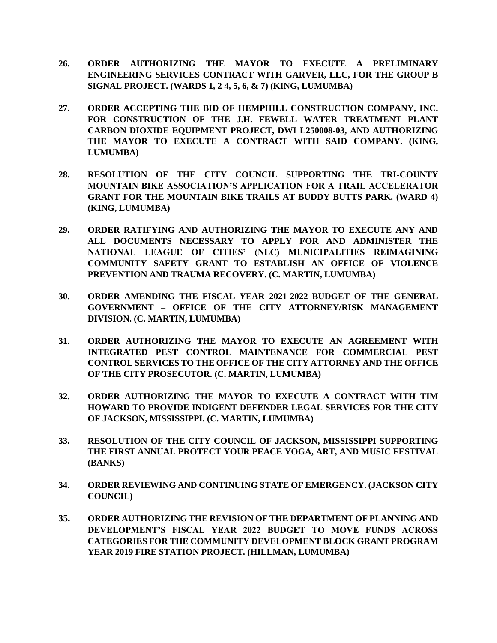- **26. ORDER AUTHORIZING THE MAYOR TO EXECUTE A PRELIMINARY ENGINEERING SERVICES CONTRACT WITH GARVER, LLC, FOR THE GROUP B SIGNAL PROJECT. (WARDS 1, 2 4, 5, 6, & 7) (KING, LUMUMBA)**
- **27. ORDER ACCEPTING THE BID OF HEMPHILL CONSTRUCTION COMPANY, INC. FOR CONSTRUCTION OF THE J.H. FEWELL WATER TREATMENT PLANT CARBON DIOXIDE EQUIPMENT PROJECT, DWI L250008-03, AND AUTHORIZING THE MAYOR TO EXECUTE A CONTRACT WITH SAID COMPANY. (KING, LUMUMBA)**
- **28. RESOLUTION OF THE CITY COUNCIL SUPPORTING THE TRI-COUNTY MOUNTAIN BIKE ASSOCIATION'S APPLICATION FOR A TRAIL ACCELERATOR GRANT FOR THE MOUNTAIN BIKE TRAILS AT BUDDY BUTTS PARK. (WARD 4) (KING, LUMUMBA)**
- **29. ORDER RATIFYING AND AUTHORIZING THE MAYOR TO EXECUTE ANY AND ALL DOCUMENTS NECESSARY TO APPLY FOR AND ADMINISTER THE NATIONAL LEAGUE OF CITIES' (NLC) MUNICIPALITIES REIMAGINING COMMUNITY SAFETY GRANT TO ESTABLISH AN OFFICE OF VIOLENCE PREVENTION AND TRAUMA RECOVERY. (C. MARTIN, LUMUMBA)**
- **30. ORDER AMENDING THE FISCAL YEAR 2021-2022 BUDGET OF THE GENERAL GOVERNMENT – OFFICE OF THE CITY ATTORNEY/RISK MANAGEMENT DIVISION. (C. MARTIN, LUMUMBA)**
- **31. ORDER AUTHORIZING THE MAYOR TO EXECUTE AN AGREEMENT WITH INTEGRATED PEST CONTROL MAINTENANCE FOR COMMERCIAL PEST CONTROL SERVICES TO THE OFFICE OF THE CITY ATTORNEY AND THE OFFICE OF THE CITY PROSECUTOR. (C. MARTIN, LUMUMBA)**
- **32. ORDER AUTHORIZING THE MAYOR TO EXECUTE A CONTRACT WITH TIM HOWARD TO PROVIDE INDIGENT DEFENDER LEGAL SERVICES FOR THE CITY OF JACKSON, MISSISSIPPI. (C. MARTIN, LUMUMBA)**
- **33. RESOLUTION OF THE CITY COUNCIL OF JACKSON, MISSISSIPPI SUPPORTING THE FIRST ANNUAL PROTECT YOUR PEACE YOGA, ART, AND MUSIC FESTIVAL (BANKS)**
- **34. ORDER REVIEWING AND CONTINUING STATE OF EMERGENCY. (JACKSON CITY COUNCIL)**
- **35. ORDER AUTHORIZING THE REVISION OF THE DEPARTMENT OF PLANNING AND DEVELOPMENT'S FISCAL YEAR 2022 BUDGET TO MOVE FUNDS ACROSS CATEGORIES FOR THE COMMUNITY DEVELOPMENT BLOCK GRANT PROGRAM YEAR 2019 FIRE STATION PROJECT. (HILLMAN, LUMUMBA)**